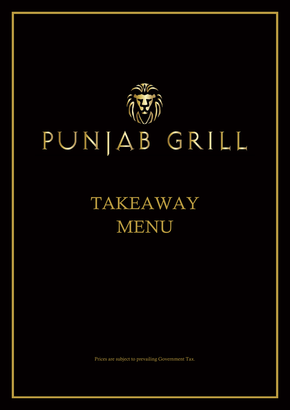

# TAKEAWAY MENU

Prices are subject to prevailing Government Tax.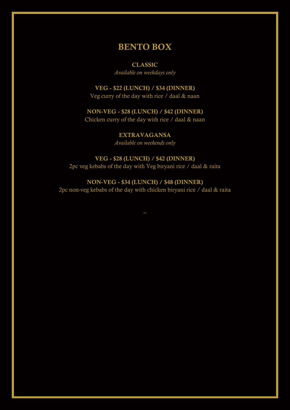# BENTO BOX

#### CLASSIC

*Available on weekdays only*

# VEG - \$22 (LUNCH) / \$34 (DINNER)

Veg curry of the day with rice / daal & naan

## NON-VEG - \$28 (LUNCH) / \$42 (DINNER)

Chicken curry of the day with rice / daal & naan

EXTRAVAGANSA *Available on weekends only*

## VEG - \$28 (LUNCH) / \$42 (DINNER)

2pc veg kebabs of the day with Veg biryani rice / daal & raita

# NON-VEG - \$34 (LUNCH) / \$48 (DINNER)

2pc non-veg kebabs of the day with chicken biryani rice / daal & raita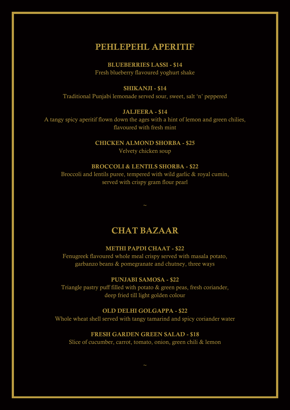# PEHLEPEHL APERITIE

BLUEBERRIES LASSI - \$14 Fresh blueberry flavoured yoghurt shake

## SHIKANJI - \$14

Traditional Punjabi lemonade served sour, sweet, salt 'n' peppered

#### JALJEERA - \$14

A tangy spicy aperitif flown down the ages with a hint of lemon and green chilies, flavoured with fresh mint

#### CHICKEN ALMOND SHORBA - \$25

Velvety chicken soup

#### BROCCOLI & LENTILS SHORBA - \$22

Broccoli and lentils puree, tempered with wild garlic & royal cumin, served with crispy gram flour pearl

# CHAT BAZAAR

#### METHI PAPDI CHAAT - \$22

Fenugreek flavoured whole meal crispy served with masala potato, garbanzo beans & pomegranate and chutney, three ways

#### PUNJABI SAMOSA - \$22

Triangle pastry puff filled with potato & green peas, fresh coriander, deep fried till light golden colour

#### OLD DELHI GOLGAPPA - \$22

Whole wheat shell served with tangy tamarind and spicy coriander water

#### FRESH GARDEN GREEN SALAD - \$18

Slice of cucumber, carrot, tomato, onion, green chili & lemon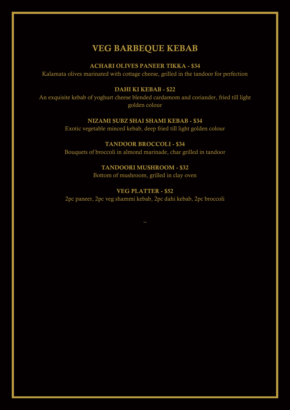# VEG BARBEQUE KEBAB

#### ACHARI OLIVES PANEER TIKKA - \$34

Kalamata olives marinated with cottage cheese, grilled in the tandoor for perfection

## DAHI KI KEBAB - \$22

An exquisite kebab of yoghurt cheese blended cardamom and coriander, fried till light golden colour

## NIZAMI SUBZ SHAI SHAMI KEBAB - \$34

Exotic vegetable minced kebab, deep fried till light golden colour

## TANDOOR BROCCOLI - \$34

Bouquets of broccoli in almond marinade, char grilled in tandoor

#### TANDOORI MUSHROOM - \$32

Bottom of mushroom, grilled in clay oven

## VEG PLATTER - \$52

2pc paneer, 2pc veg shammi kebab, 2pc dahi kebab, 2pc broccoli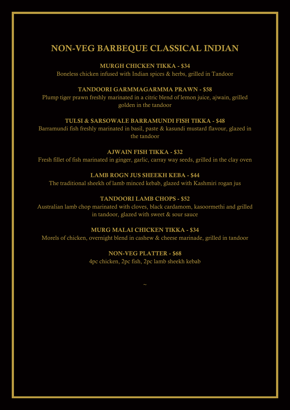# NON-VEG BARBEQUE CLASSICAL INDIAN

#### MURGH CHICKEN TIKKA - \$34

Boneless chicken infused with Indian spices & herbs, grilled in Tandoor

## TANDOORI GARMMAGARMMA PRAWN - \$58

Plump tiger prawn freshly marinated in a citric blend of lemon juice, ajwain, grilled golden in the tandoor

#### TULSI & SARSOWALE BARRAMUNDI FISH TIKKA - \$48

Barramundi fish freshly marinated in basil, paste & kasundi mustard flavour, glazed in the tandoor

## AJWAIN FISH TIKKA - \$32

Fresh fillet of fish marinated in ginger, garlic, carray way seeds, grilled in the clay oven

#### LAMB ROGN JUS SHEEKH KEBA - \$44

The traditional sheekh of lamb minced kebab, glazed with Kashmiri rogan jus

#### TANDOORI LAMB CHOPS - \$52

Australian lamb chop marinated with cloves, black cardamom, kasoormethi and grilled in tandoor, glazed with sweet  $&$  sour sauce

#### MURG MALAI CHICKEN TIKKA - \$34

Morels of chicken, overnight blend in cashew & cheese marinade, grilled in tandoor

#### NON-VEG PLATTER - \$68

4pc chicken, 2pc fish, 2pc lamb sheekh kebab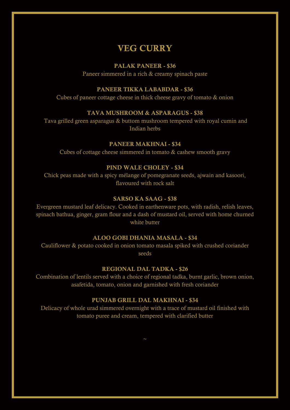# VEG CURRY

#### PALAK PANEER - \$36

Paneer simmered in a rich & creamy spinach paste

## PANEER TIKKA LABABDAR - \$36

Cubes of paneer cottage cheese in thick cheese gravy of tomato & onion

#### TAVA MUSHROOM & ASPARAGUS - \$38

Tava grilled green asparagus & buttom mushroom tempered with royal cumin and Indian herbs

#### PANEER MAKHNAI - \$34

Cubes of cottage cheese simmered in tomato & cashew smooth gravy

#### PIND WALE CHOLEY - \$34

Chick peas made with a spicy mélange of pomegranate seeds, ajwain and kasoori, flavoured with rock salt

#### SARSO KA SAAG - \$38

Evergreen mustard leaf delicacy. Cooked in earthenware pots, with radish, relish leaves, spinach bathua, ginger, gram flour and a dash of mustard oil, served with home churned white butter

#### ALOO GOBI DHANIA MASALA - \$34

Cauliflower & potato cooked in onion tomato masala spiked with crushed coriander seeds

#### REGIONAL DAL TADKA - \$26

Combination of lentils served with a choice of regional tadka, burnt garlic, brown onion, asafetida, tomato, onion and garnished with fresh coriander

#### PUNJAB GRILL DAL MAKHNAI - \$34

Delicacy of whole urad simmered overnight with a trace of mustard oil finished with tomato puree and cream, tempered with clarified butter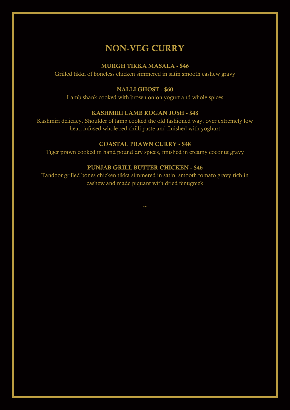# NON-VEG CURRY

#### MURGH TIKKA MASALA - \$46

Grilled tikka of boneless chicken simmered in satin smooth cashew gravy

## NALLI GHOST - \$60

Lamb shank cooked with brown onion yogurt and whole spices

#### KASHMIRI LAMB ROGAN JOSH - \$48

Kashmiri delicacy. Shoulder of lamb cooked the old fashioned way, over extremely low heat, infused whole red chilli paste and finished with yoghurt

#### COASTAL PRAWN CURRY - \$48

Tiger prawn cooked in hand pound dry spices, finished in creamy coconut gravy

#### PUNJAB GRILL BUTTER CHICKEN - \$46

Tandoor grilled bones chicken tikka simmered in satin, smooth tomato gravy rich in cashew and made piquant with dried fenugreek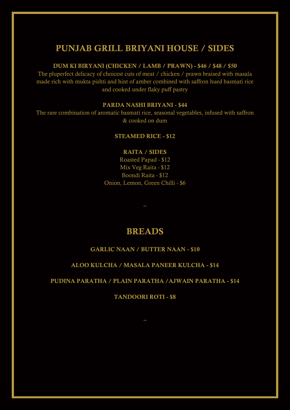# PUNJAB GRILL BRIYANI HOUSE / SIDES

#### DUM KI BIRYANI (CHICKEN / LAMB / PRAWN) - \$46 / \$48 / \$50

The pluperfect delicacy of choicest cuts of meat / chicken / prawn braised with masala made rich with mukta pishti and hint of amber combined with saffron hued basmati rice and cooked under flaky puff pastry

#### PARDA NASHI BRIYANI - \$44

The rare combination of aromatic basmati rice, seasonal vegetables, infused with saffron & cooked on dum

#### STEAMED RICE - \$12

## RAITA / SIDES

Roasted Papad - \$12 Mix Veg Raita - \$12 Boondi Raita - \$12 Onion, Lemon, Green Chilli - \$6

# BREADS

## GARLIC NAAN / BUTTER NAAN - \$10

#### ALOO KULCHA / MASALA PANEER KULCHA - \$14

#### PUDINA PARATHA / PLAIN PARATHA /AJWAIN PARATHA - \$14

TANDOORI ROTI - \$8